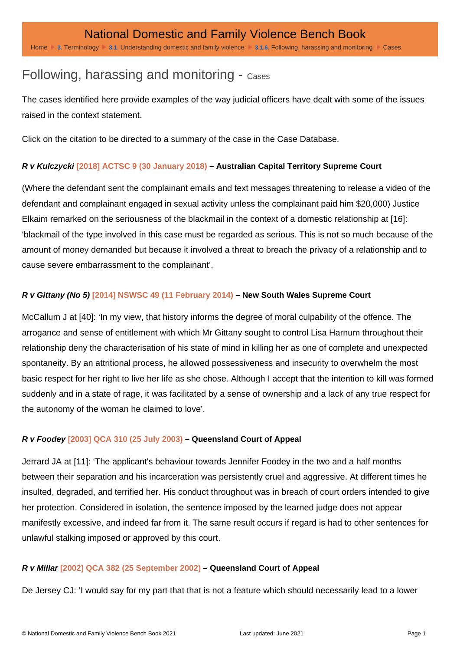# Following, harassing and monitoring - Cases

The cases identified here provide examples of the way judicial officers have dealt with some of the issues raised in the context statement.

Click on the citation to be directed to a summary of the case in the Case Database.

## R v Kulczycki [\[2018\] ACTSC 9 \(30 January 2018\)](http://dfvbenchbook.aija.org.au/act/supreme-court/?ref=162900#t-162900) – Australian Capital Territory Supreme Court

(Where the defendant sent the complainant emails and text messages threatening to release a video of the defendant and complainant engaged in sexual activity unless the complainant paid him \$20,000) Justice Elkaim remarked on the seriousness of the blackmail in the context of a domestic relationship at [16]: 'blackmail of the type involved in this case must be regarded as serious. This is not so much because of the amount of money demanded but because it involved a threat to breach the privacy of a relationship and to cause severe embarrassment to the complainant'.

## R v Gittany (No 5) [\[2014\] NSWSC 49 \(11 February 2014\)](http://dfvbenchbook.aija.org.au/nsw/supreme-court/?ref=85100#t-85100) – New South Wales Supreme Court

McCallum J at [40]: 'In my view, that history informs the degree of moral culpability of the offence. The arrogance and sense of entitlement with which Mr Gittany sought to control Lisa Harnum throughout their relationship deny the characterisation of his state of mind in killing her as one of complete and unexpected spontaneity. By an attritional process, he allowed possessiveness and insecurity to overwhelm the most basic respect for her right to live her life as she chose. Although I accept that the intention to kill was formed suddenly and in a state of rage, it was facilitated by a sense of ownership and a lack of any true respect for the autonomy of the woman he claimed to love'.

# R v Foodey [\[2003\] QCA 310 \(25 July 2003\)](http://dfvbenchbook.aija.org.au/qld/court-of-appeal/?ref=1670#t-1670) – Queensland Court of Appeal

Jerrard JA at [11]: 'The applicant's behaviour towards Jennifer Foodey in the two and a half months between their separation and his incarceration was persistently cruel and aggressive. At different times he insulted, degraded, and terrified her. His conduct throughout was in breach of court orders intended to give her protection. Considered in isolation, the sentence imposed by the learned judge does not appear manifestly excessive, and indeed far from it. The same result occurs if regard is had to other sentences for unlawful stalking imposed or approved by this court.

# R v Millar [\[2002\] QCA 382 \(25 September 2002\)](http://dfvbenchbook.aija.org.au/qld/court-of-appeal/?ref=1680#t-1680) – Queensland Court of Appeal

De Jersey CJ: 'I would say for my part that that is not a feature which should necessarily lead to a lower